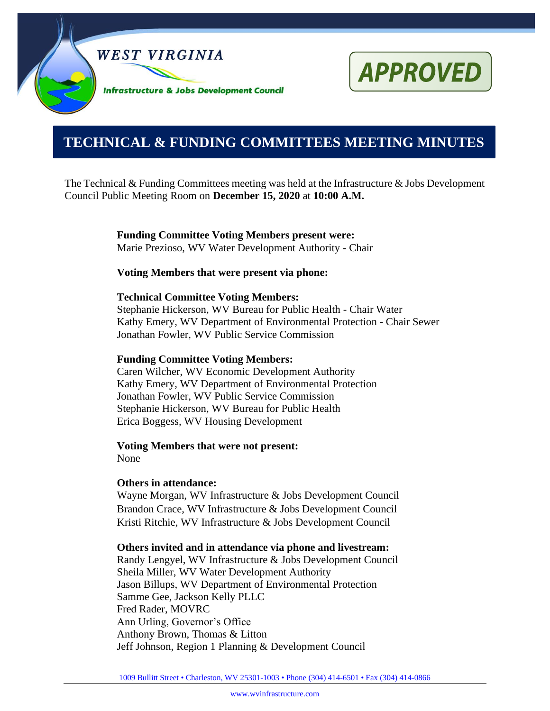



# **0000000000000000000000000000000000000000000000000000. TECHNICAL & FUNDING COMMITTEES MEETING MINUTES**

The Technical & Funding Committees meeting was held at the Infrastructure & Jobs Development Council Public Meeting Room on **December 15, 2020** at **10:00 A.M.**

> **Funding Committee Voting Members present were:** Marie Prezioso, WV Water Development Authority - Chair

#### **Voting Members that were present via phone:**

#### **Technical Committee Voting Members:**

Stephanie Hickerson, WV Bureau for Public Health - Chair Water Kathy Emery, WV Department of Environmental Protection - Chair Sewer Jonathan Fowler, WV Public Service Commission

#### **Funding Committee Voting Members:**

Caren Wilcher, WV Economic Development Authority Kathy Emery, WV Department of Environmental Protection Jonathan Fowler, WV Public Service Commission Stephanie Hickerson, WV Bureau for Public Health Erica Boggess, WV Housing Development

# **Voting Members that were not present:**

None

#### **Others in attendance:**

Wayne Morgan, WV Infrastructure & Jobs Development Council Brandon Crace, WV Infrastructure & Jobs Development Council Kristi Ritchie, WV Infrastructure & Jobs Development Council

#### **Others invited and in attendance via phone and livestream:**

Randy Lengyel, WV Infrastructure & Jobs Development Council Sheila Miller, WV Water Development Authority Jason Billups, WV Department of Environmental Protection Samme Gee, Jackson Kelly PLLC Fred Rader, MOVRC Ann Urling, Governor's Office Anthony Brown, Thomas & Litton Jeff Johnson, Region 1 Planning & Development Council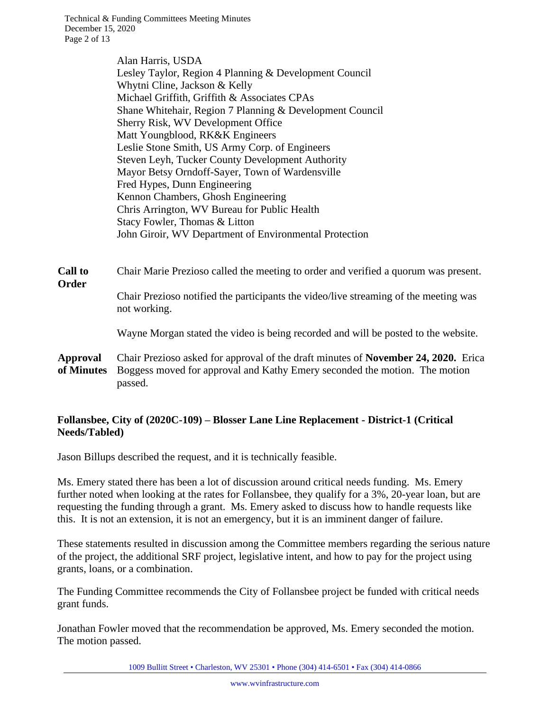Technical & Funding Committees Meeting Minutes December 15, 2020 Page 2 of 13

> Alan Harris, USDA Lesley Taylor, Region 4 Planning & Development Council Whytni Cline, Jackson & Kelly Michael Griffith, Griffith & Associates CPAs Shane Whitehair, Region 7 Planning & Development Council Sherry Risk, WV Development Office Matt Youngblood, RK&K Engineers Leslie Stone Smith, US Army Corp. of Engineers Steven Leyh, Tucker County Development Authority Mayor Betsy Orndoff-Sayer, Town of Wardensville Fred Hypes, Dunn Engineering Kennon Chambers, Ghosh Engineering Chris Arrington, WV Bureau for Public Health Stacy Fowler, Thomas & Litton John Giroir, WV Department of Environmental Protection

**Call to Order** Chair Marie Prezioso called the meeting to order and verified a quorum was present. Chair Prezioso notified the participants the video/live streaming of the meeting was not working.

Wayne Morgan stated the video is being recorded and will be posted to the website.

**Approval of Minutes** Chair Prezioso asked for approval of the draft minutes of **November 24, 2020.** Erica Boggess moved for approval and Kathy Emery seconded the motion. The motion passed.

#### **Follansbee, City of (2020C-109) – Blosser Lane Line Replacement - District-1 (Critical Needs/Tabled)**

Jason Billups described the request, and it is technically feasible.

Ms. Emery stated there has been a lot of discussion around critical needs funding. Ms. Emery further noted when looking at the rates for Follansbee, they qualify for a 3%, 20-year loan, but are requesting the funding through a grant. Ms. Emery asked to discuss how to handle requests like this. It is not an extension, it is not an emergency, but it is an imminent danger of failure.

These statements resulted in discussion among the Committee members regarding the serious nature of the project, the additional SRF project, legislative intent, and how to pay for the project using grants, loans, or a combination.

The Funding Committee recommends the City of Follansbee project be funded with critical needs grant funds.

Jonathan Fowler moved that the recommendation be approved, Ms. Emery seconded the motion. The motion passed.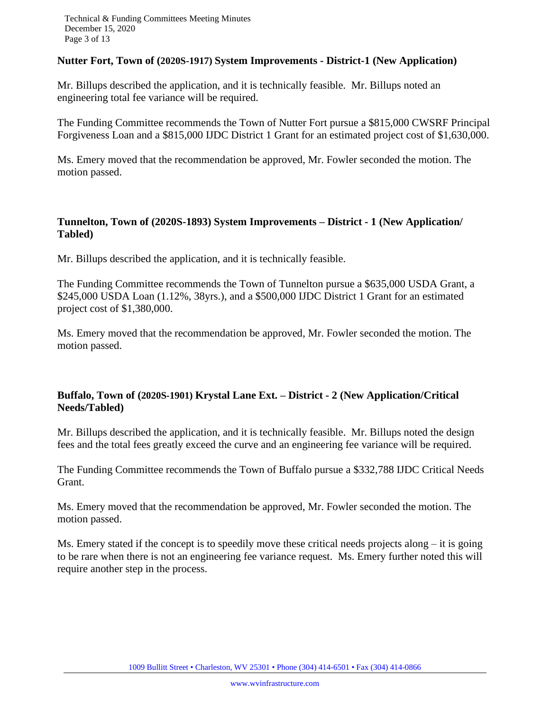#### **Nutter Fort, Town of (2020S-1917) System Improvements - District-1 (New Application)**

Mr. Billups described the application, and it is technically feasible. Mr. Billups noted an engineering total fee variance will be required.

The Funding Committee recommends the Town of Nutter Fort pursue a \$815,000 CWSRF Principal Forgiveness Loan and a \$815,000 IJDC District 1 Grant for an estimated project cost of \$1,630,000.

Ms. Emery moved that the recommendation be approved, Mr. Fowler seconded the motion. The motion passed.

# **Tunnelton, Town of (2020S-1893) System Improvements – District - 1 (New Application/ Tabled)**

Mr. Billups described the application, and it is technically feasible.

The Funding Committee recommends the Town of Tunnelton pursue a \$635,000 USDA Grant, a \$245,000 USDA Loan (1.12%, 38yrs.), and a \$500,000 IJDC District 1 Grant for an estimated project cost of \$1,380,000.

Ms. Emery moved that the recommendation be approved, Mr. Fowler seconded the motion. The motion passed.

# **Buffalo, Town of (2020S-1901) Krystal Lane Ext. – District - 2 (New Application/Critical Needs/Tabled)**

Mr. Billups described the application, and it is technically feasible. Mr. Billups noted the design fees and the total fees greatly exceed the curve and an engineering fee variance will be required.

The Funding Committee recommends the Town of Buffalo pursue a \$332,788 IJDC Critical Needs Grant.

Ms. Emery moved that the recommendation be approved, Mr. Fowler seconded the motion. The motion passed.

Ms. Emery stated if the concept is to speedily move these critical needs projects along – it is going to be rare when there is not an engineering fee variance request. Ms. Emery further noted this will require another step in the process.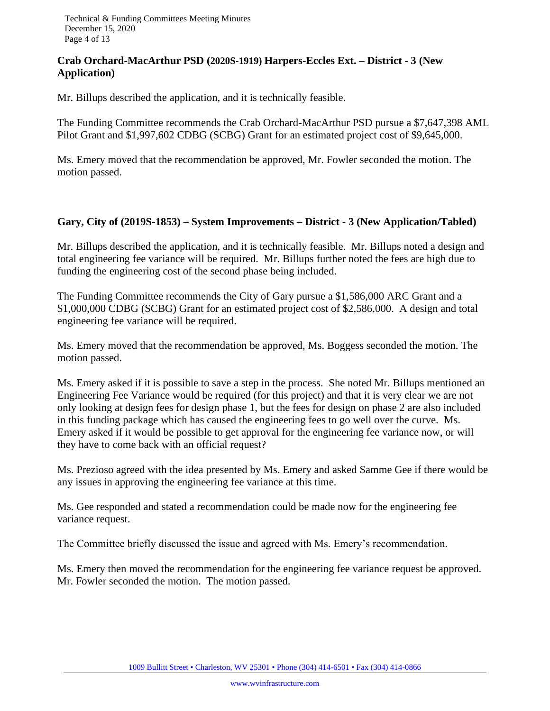## **Crab Orchard-MacArthur PSD (2020S-1919) Harpers-Eccles Ext. – District - 3 (New Application)**

Mr. Billups described the application, and it is technically feasible.

The Funding Committee recommends the Crab Orchard-MacArthur PSD pursue a \$7,647,398 AML Pilot Grant and \$1,997,602 CDBG (SCBG) Grant for an estimated project cost of \$9,645,000.

Ms. Emery moved that the recommendation be approved, Mr. Fowler seconded the motion. The motion passed.

#### **Gary, City of (2019S-1853) – System Improvements – District - 3 (New Application/Tabled)**

Mr. Billups described the application, and it is technically feasible. Mr. Billups noted a design and total engineering fee variance will be required. Mr. Billups further noted the fees are high due to funding the engineering cost of the second phase being included.

The Funding Committee recommends the City of Gary pursue a \$1,586,000 ARC Grant and a \$1,000,000 CDBG (SCBG) Grant for an estimated project cost of \$2,586,000. A design and total engineering fee variance will be required.

Ms. Emery moved that the recommendation be approved, Ms. Boggess seconded the motion. The motion passed.

Ms. Emery asked if it is possible to save a step in the process. She noted Mr. Billups mentioned an Engineering Fee Variance would be required (for this project) and that it is very clear we are not only looking at design fees for design phase 1, but the fees for design on phase 2 are also included in this funding package which has caused the engineering fees to go well over the curve. Ms. Emery asked if it would be possible to get approval for the engineering fee variance now, or will they have to come back with an official request?

Ms. Prezioso agreed with the idea presented by Ms. Emery and asked Samme Gee if there would be any issues in approving the engineering fee variance at this time.

Ms. Gee responded and stated a recommendation could be made now for the engineering fee variance request.

The Committee briefly discussed the issue and agreed with Ms. Emery's recommendation.

Ms. Emery then moved the recommendation for the engineering fee variance request be approved. Mr. Fowler seconded the motion. The motion passed.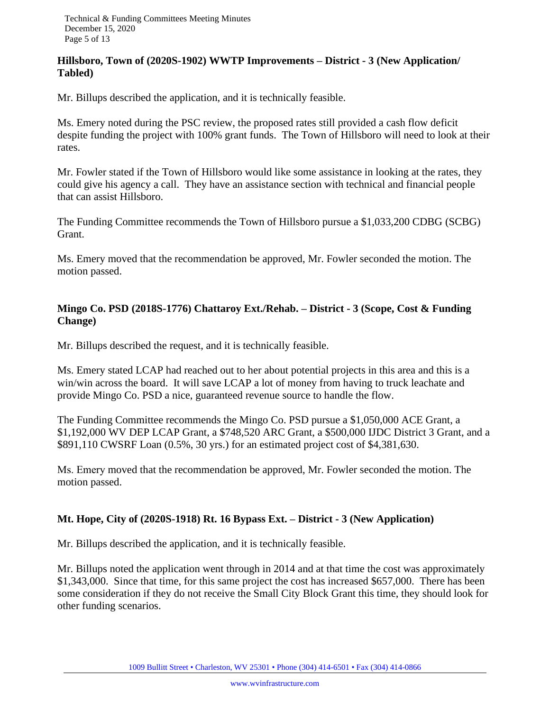#### **Hillsboro, Town of (2020S-1902) WWTP Improvements – District - 3 (New Application/ Tabled)**

Mr. Billups described the application, and it is technically feasible.

Ms. Emery noted during the PSC review, the proposed rates still provided a cash flow deficit despite funding the project with 100% grant funds. The Town of Hillsboro will need to look at their rates.

Mr. Fowler stated if the Town of Hillsboro would like some assistance in looking at the rates, they could give his agency a call. They have an assistance section with technical and financial people that can assist Hillsboro.

The Funding Committee recommends the Town of Hillsboro pursue a \$1,033,200 CDBG (SCBG) Grant.

Ms. Emery moved that the recommendation be approved, Mr. Fowler seconded the motion. The motion passed.

# **Mingo Co. PSD (2018S-1776) Chattaroy Ext./Rehab. – District - 3 (Scope, Cost & Funding Change)**

Mr. Billups described the request, and it is technically feasible.

Ms. Emery stated LCAP had reached out to her about potential projects in this area and this is a win/win across the board. It will save LCAP a lot of money from having to truck leachate and provide Mingo Co. PSD a nice, guaranteed revenue source to handle the flow.

The Funding Committee recommends the Mingo Co. PSD pursue a \$1,050,000 ACE Grant, a \$1,192,000 WV DEP LCAP Grant, a \$748,520 ARC Grant, a \$500,000 IJDC District 3 Grant, and a \$891,110 CWSRF Loan (0.5%, 30 yrs.) for an estimated project cost of \$4,381,630.

Ms. Emery moved that the recommendation be approved, Mr. Fowler seconded the motion. The motion passed.

# **Mt. Hope, City of (2020S-1918) Rt. 16 Bypass Ext. – District - 3 (New Application)**

Mr. Billups described the application, and it is technically feasible.

Mr. Billups noted the application went through in 2014 and at that time the cost was approximately \$1,343,000. Since that time, for this same project the cost has increased \$657,000. There has been some consideration if they do not receive the Small City Block Grant this time, they should look for other funding scenarios.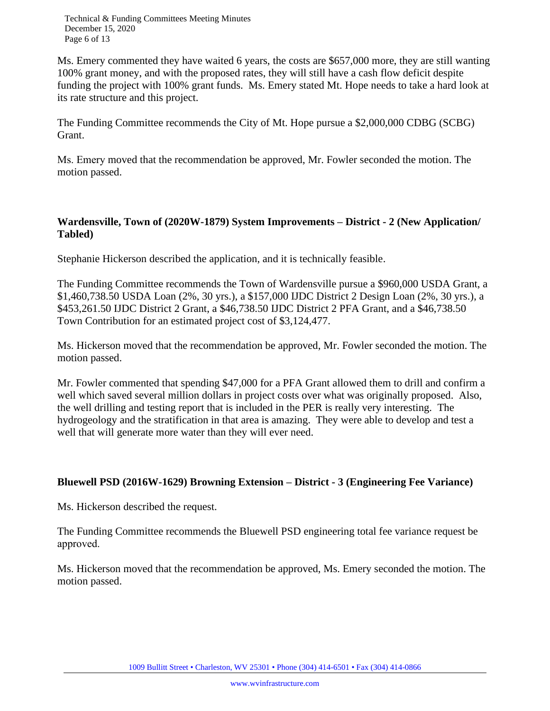Technical & Funding Committees Meeting Minutes December 15, 2020 Page 6 of 13

Ms. Emery commented they have waited 6 years, the costs are \$657,000 more, they are still wanting 100% grant money, and with the proposed rates, they will still have a cash flow deficit despite funding the project with 100% grant funds. Ms. Emery stated Mt. Hope needs to take a hard look at its rate structure and this project.

The Funding Committee recommends the City of Mt. Hope pursue a \$2,000,000 CDBG (SCBG) Grant.

Ms. Emery moved that the recommendation be approved, Mr. Fowler seconded the motion. The motion passed.

## **Wardensville, Town of (2020W-1879) System Improvements – District - 2 (New Application/ Tabled)**

Stephanie Hickerson described the application, and it is technically feasible.

The Funding Committee recommends the Town of Wardensville pursue a \$960,000 USDA Grant, a \$1,460,738.50 USDA Loan (2%, 30 yrs.), a \$157,000 IJDC District 2 Design Loan (2%, 30 yrs.), a \$453,261.50 IJDC District 2 Grant, a \$46,738.50 IJDC District 2 PFA Grant, and a \$46,738.50 Town Contribution for an estimated project cost of \$3,124,477.

Ms. Hickerson moved that the recommendation be approved, Mr. Fowler seconded the motion. The motion passed.

Mr. Fowler commented that spending \$47,000 for a PFA Grant allowed them to drill and confirm a well which saved several million dollars in project costs over what was originally proposed. Also, the well drilling and testing report that is included in the PER is really very interesting. The hydrogeology and the stratification in that area is amazing. They were able to develop and test a well that will generate more water than they will ever need.

# **Bluewell PSD (2016W-1629) Browning Extension – District - 3 (Engineering Fee Variance)**

Ms. Hickerson described the request.

The Funding Committee recommends the Bluewell PSD engineering total fee variance request be approved.

Ms. Hickerson moved that the recommendation be approved, Ms. Emery seconded the motion. The motion passed.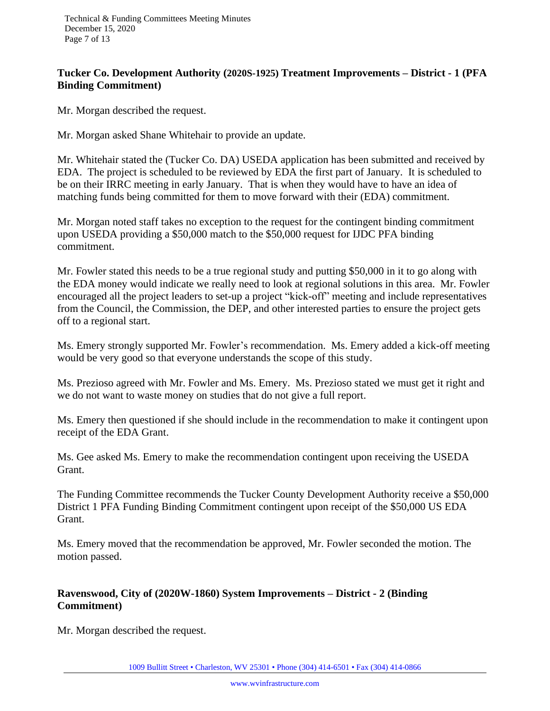### **Tucker Co. Development Authority (2020S-1925) Treatment Improvements – District - 1 (PFA Binding Commitment)**

Mr. Morgan described the request.

Mr. Morgan asked Shane Whitehair to provide an update.

Mr. Whitehair stated the (Tucker Co. DA) USEDA application has been submitted and received by EDA. The project is scheduled to be reviewed by EDA the first part of January. It is scheduled to be on their IRRC meeting in early January. That is when they would have to have an idea of matching funds being committed for them to move forward with their (EDA) commitment.

Mr. Morgan noted staff takes no exception to the request for the contingent binding commitment upon USEDA providing a \$50,000 match to the \$50,000 request for IJDC PFA binding commitment.

Mr. Fowler stated this needs to be a true regional study and putting \$50,000 in it to go along with the EDA money would indicate we really need to look at regional solutions in this area. Mr. Fowler encouraged all the project leaders to set-up a project "kick-off" meeting and include representatives from the Council, the Commission, the DEP, and other interested parties to ensure the project gets off to a regional start.

Ms. Emery strongly supported Mr. Fowler's recommendation. Ms. Emery added a kick-off meeting would be very good so that everyone understands the scope of this study.

Ms. Prezioso agreed with Mr. Fowler and Ms. Emery. Ms. Prezioso stated we must get it right and we do not want to waste money on studies that do not give a full report.

Ms. Emery then questioned if she should include in the recommendation to make it contingent upon receipt of the EDA Grant.

Ms. Gee asked Ms. Emery to make the recommendation contingent upon receiving the USEDA Grant.

The Funding Committee recommends the Tucker County Development Authority receive a \$50,000 District 1 PFA Funding Binding Commitment contingent upon receipt of the \$50,000 US EDA Grant.

Ms. Emery moved that the recommendation be approved, Mr. Fowler seconded the motion. The motion passed.

# **Ravenswood, City of (2020W-1860) System Improvements – District - 2 (Binding Commitment)**

Mr. Morgan described the request.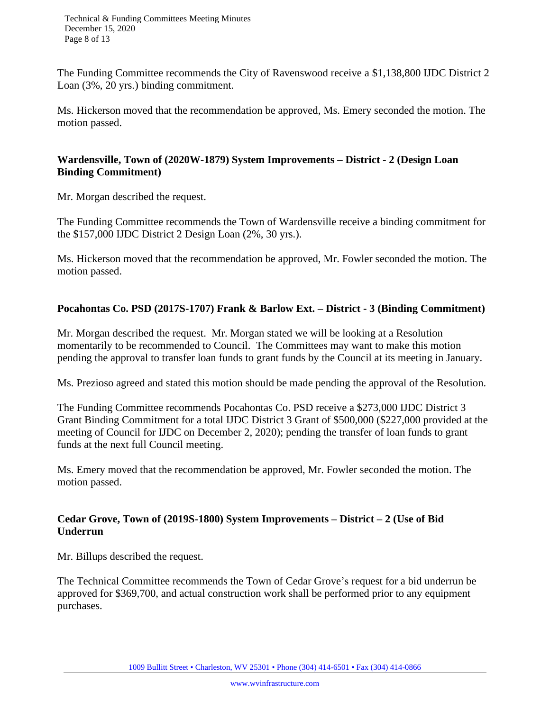Technical & Funding Committees Meeting Minutes December 15, 2020 Page 8 of 13

The Funding Committee recommends the City of Ravenswood receive a \$1,138,800 IJDC District 2 Loan (3%, 20 yrs.) binding commitment.

Ms. Hickerson moved that the recommendation be approved, Ms. Emery seconded the motion. The motion passed.

### **Wardensville, Town of (2020W-1879) System Improvements – District - 2 (Design Loan Binding Commitment)**

Mr. Morgan described the request.

The Funding Committee recommends the Town of Wardensville receive a binding commitment for the \$157,000 IJDC District 2 Design Loan (2%, 30 yrs.).

Ms. Hickerson moved that the recommendation be approved, Mr. Fowler seconded the motion. The motion passed.

#### **Pocahontas Co. PSD (2017S-1707) Frank & Barlow Ext. – District - 3 (Binding Commitment)**

Mr. Morgan described the request. Mr. Morgan stated we will be looking at a Resolution momentarily to be recommended to Council. The Committees may want to make this motion pending the approval to transfer loan funds to grant funds by the Council at its meeting in January.

Ms. Prezioso agreed and stated this motion should be made pending the approval of the Resolution.

The Funding Committee recommends Pocahontas Co. PSD receive a \$273,000 IJDC District 3 Grant Binding Commitment for a total IJDC District 3 Grant of \$500,000 (\$227,000 provided at the meeting of Council for IJDC on December 2, 2020); pending the transfer of loan funds to grant funds at the next full Council meeting.

Ms. Emery moved that the recommendation be approved, Mr. Fowler seconded the motion. The motion passed.

#### **Cedar Grove, Town of (2019S-1800) System Improvements – District – 2 (Use of Bid Underrun**

Mr. Billups described the request.

The Technical Committee recommends the Town of Cedar Grove's request for a bid underrun be approved for \$369,700, and actual construction work shall be performed prior to any equipment purchases.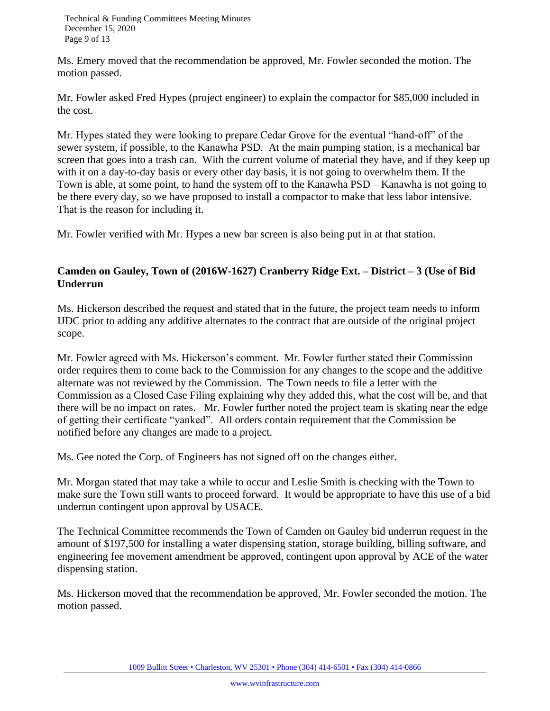Ms. Emery moved that the recommendation be approved, Mr. Fowler seconded the motion. The motion passed.

Mr. Fowler asked Fred Hypes (project engineer) to explain the compactor for \$85,000 included in the cost.

Mr. Hypes stated they were looking to prepare Cedar Grove for the eventual "hand-off" of the sewer system, if possible, to the Kanawha PSD. At the main pumping station, is a mechanical bar screen that goes into a trash can. With the current volume of material they have, and if they keep up with it on a day-to-day basis or every other day basis, it is not going to overwhelm them. If the Town is able, at some point, to hand the system off to the Kanawha PSD – Kanawha is not going to be there every day, so we have proposed to install a compactor to make that less labor intensive. That is the reason for including it.

Mr. Fowler verified with Mr. Hypes a new bar screen is also being put in at that station.

# **Camden on Gauley, Town of (2016W-1627) Cranberry Ridge Ext. – District – 3 (Use of Bid Underrun**

Ms. Hickerson described the request and stated that in the future, the project team needs to inform IJDC prior to adding any additive alternates to the contract that are outside of the original project scope.

Mr. Fowler agreed with Ms. Hickerson's comment. Mr. Fowler further stated their Commission order requires them to come back to the Commission for any changes to the scope and the additive alternate was not reviewed by the Commission. The Town needs to file a letter with the Commission as a Closed Case Filing explaining why they added this, what the cost will be, and that there will be no impact on rates. Mr. Fowler further noted the project team is skating near the edge of getting their certificate "yanked". All orders contain requirement that the Commission be notified before any changes are made to a project.

Ms. Gee noted the Corp. of Engineers has not signed off on the changes either.

Mr. Morgan stated that may take a while to occur and Leslie Smith is checking with the Town to make sure the Town still wants to proceed forward. It would be appropriate to have this use of a bid underrun contingent upon approval by USACE.

The Technical Committee recommends the Town of Camden on Gauley bid underrun request in the amount of \$197,500 for installing a water dispensing station, storage building, billing software, and engineering fee movement amendment be approved, contingent upon approval by ACE of the water dispensing station.

Ms. Hickerson moved that the recommendation be approved, Mr. Fowler seconded the motion. The motion passed.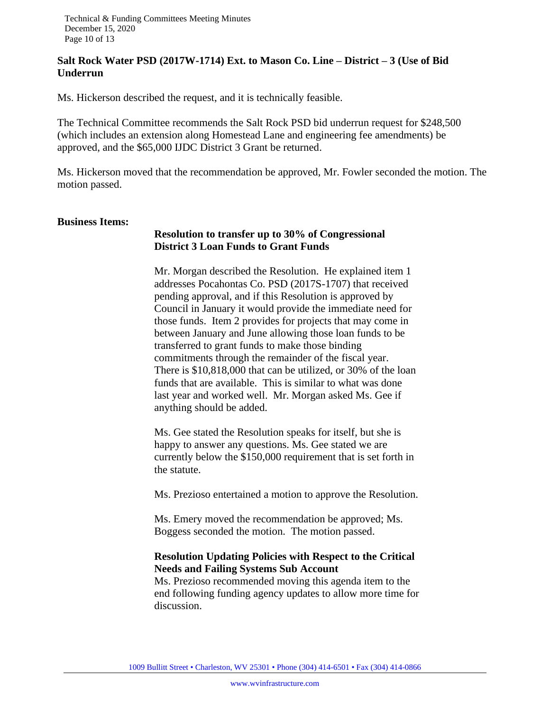#### **Salt Rock Water PSD (2017W-1714) Ext. to Mason Co. Line – District – 3 (Use of Bid Underrun**

Ms. Hickerson described the request, and it is technically feasible.

The Technical Committee recommends the Salt Rock PSD bid underrun request for \$248,500 (which includes an extension along Homestead Lane and engineering fee amendments) be approved, and the \$65,000 IJDC District 3 Grant be returned.

Ms. Hickerson moved that the recommendation be approved, Mr. Fowler seconded the motion. The motion passed.

#### **Business Items:**

#### **Resolution to transfer up to 30% of Congressional District 3 Loan Funds to Grant Funds**

Mr. Morgan described the Resolution. He explained item 1 addresses Pocahontas Co. PSD (2017S-1707) that received pending approval, and if this Resolution is approved by Council in January it would provide the immediate need for those funds. Item 2 provides for projects that may come in between January and June allowing those loan funds to be transferred to grant funds to make those binding commitments through the remainder of the fiscal year. There is \$10,818,000 that can be utilized, or 30% of the loan funds that are available. This is similar to what was done last year and worked well. Mr. Morgan asked Ms. Gee if anything should be added.

Ms. Gee stated the Resolution speaks for itself, but she is happy to answer any questions. Ms. Gee stated we are currently below the \$150,000 requirement that is set forth in the statute.

Ms. Prezioso entertained a motion to approve the Resolution.

Ms. Emery moved the recommendation be approved; Ms. Boggess seconded the motion. The motion passed.

# **Resolution Updating Policies with Respect to the Critical Needs and Failing Systems Sub Account**

Ms. Prezioso recommended moving this agenda item to the end following funding agency updates to allow more time for discussion.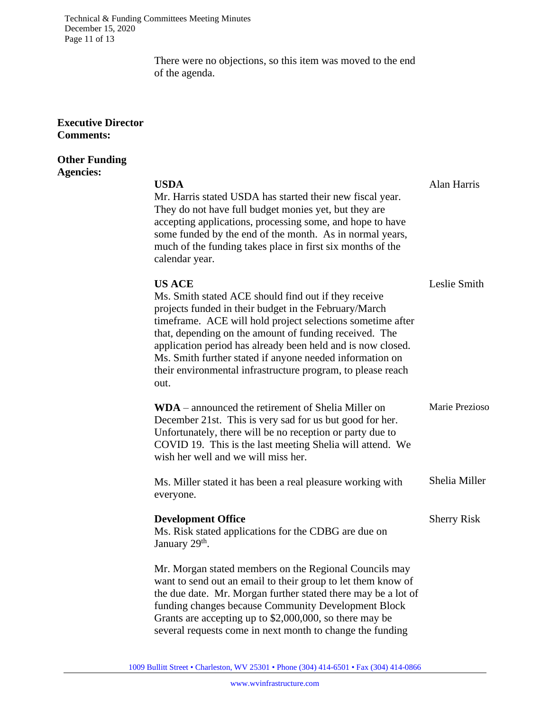Technical & Funding Committees Meeting Minutes December 15, 2020 Page 11 of 13

> There were no objections, so this item was moved to the end of the agenda.

#### **Executive Director Comments:**

#### **Other Funding Agencies:**

**USDA** Alan Harris Mr. Harris stated USDA has started their new fiscal year. They do not have full budget monies yet, but they are accepting applications, processing some, and hope to have some funded by the end of the month. As in normal years, much of the funding takes place in first six months of the calendar year. **US ACE** Leslie Smith Ms. Smith stated ACE should find out if they receive projects funded in their budget in the February/March timeframe. ACE will hold project selections sometime after that, depending on the amount of funding received. The application period has already been held and is now closed. Ms. Smith further stated if anyone needed information on their environmental infrastructure program, to please reach out. **WDA** – announced the retirement of Shelia Miller on December 21st. This is very sad for us but good for her. Unfortunately, there will be no reception or party due to COVID 19. This is the last meeting Shelia will attend. We wish her well and we will miss her. Ms. Miller stated it has been a real pleasure working with everyone. Marie Prezioso Shelia Miller **Development Office** Sherry Risk Ms. Risk stated applications for the CDBG are due on January 29<sup>th</sup>. Mr. Morgan stated members on the Regional Councils may want to send out an email to their group to let them know of the due date. Mr. Morgan further stated there may be a lot of funding changes because Community Development Block Grants are accepting up to \$2,000,000, so there may be several requests come in next month to change the funding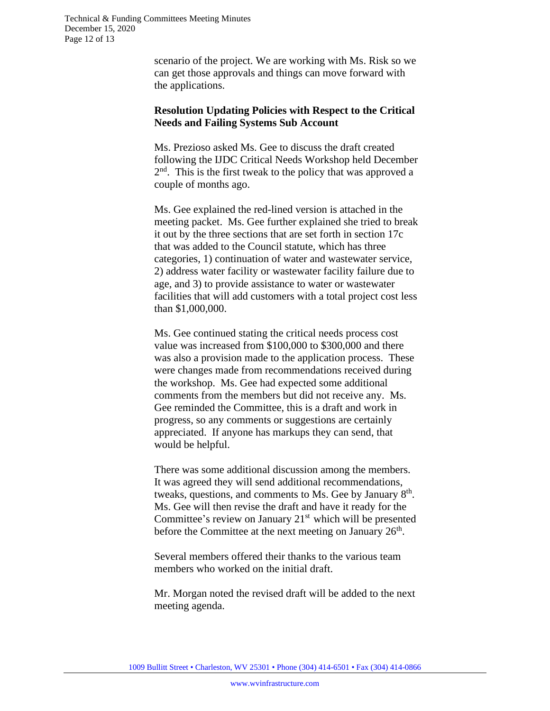scenario of the project. We are working with Ms. Risk so we can get those approvals and things can move forward with the applications.

#### **Resolution Updating Policies with Respect to the Critical Needs and Failing Systems Sub Account**

Ms. Prezioso asked Ms. Gee to discuss the draft created following the IJDC Critical Needs Workshop held December 2<sup>nd</sup>. This is the first tweak to the policy that was approved a couple of months ago.

Ms. Gee explained the red-lined version is attached in the meeting packet. Ms. Gee further explained she tried to break it out by the three sections that are set forth in section 17c that was added to the Council statute, which has three categories, 1) continuation of water and wastewater service, 2) address water facility or wastewater facility failure due to age, and 3) to provide assistance to water or wastewater facilities that will add customers with a total project cost less than \$1,000,000.

Ms. Gee continued stating the critical needs process cost value was increased from \$100,000 to \$300,000 and there was also a provision made to the application process. These were changes made from recommendations received during the workshop. Ms. Gee had expected some additional comments from the members but did not receive any. Ms. Gee reminded the Committee, this is a draft and work in progress, so any comments or suggestions are certainly appreciated. If anyone has markups they can send, that would be helpful.

There was some additional discussion among the members. It was agreed they will send additional recommendations, tweaks, questions, and comments to Ms. Gee by January  $8<sup>th</sup>$ . Ms. Gee will then revise the draft and have it ready for the Committee's review on January  $21<sup>st</sup>$  which will be presented before the Committee at the next meeting on January 26<sup>th</sup>.

Several members offered their thanks to the various team members who worked on the initial draft.

Mr. Morgan noted the revised draft will be added to the next meeting agenda.